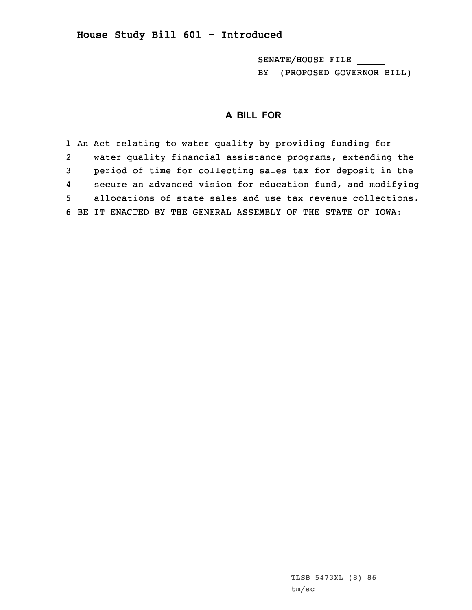## **House Study Bill 601 - Introduced**

SENATE/HOUSE FILE \_\_\_\_\_ BY (PROPOSED GOVERNOR BILL)

## **A BILL FOR**

1 An Act relating to water quality by providing funding for 2 water quality financial assistance programs, extending the 3 period of time for collecting sales tax for deposit in the 4 secure an advanced vision for education fund, and modifying 5 allocations of state sales and use tax revenue collections. 6 BE IT ENACTED BY THE GENERAL ASSEMBLY OF THE STATE OF IOWA: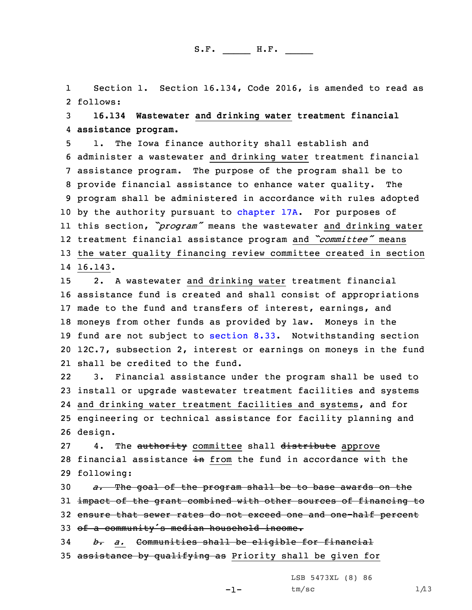1Section 1. Section 16.134, Code 2016, is amended to read as 2 follows:

3 **16.134 Wastewater and drinking water treatment financial** 4 **assistance program.**

 1. The Iowa finance authority shall establish and administer <sup>a</sup> wastewater and drinking water treatment financial assistance program. The purpose of the program shall be to provide financial assistance to enhance water quality. The program shall be administered in accordance with rules adopted 10 by the authority pursuant to [chapter](https://www.legis.iowa.gov/docs/code/2016/17A.pdf) 17A. For purposes of this section, *"program"* means the wastewater and drinking water treatment financial assistance program and *"committee"* means the water quality financing review committee created in section 14 16.143.

 2. <sup>A</sup> wastewater and drinking water treatment financial assistance fund is created and shall consist of appropriations made to the fund and transfers of interest, earnings, and moneys from other funds as provided by law. Moneys in the fund are not subject to [section](https://www.legis.iowa.gov/docs/code/2016/8.33.pdf) 8.33. Notwithstanding section 12C.7, subsection 2, interest or earnings on moneys in the fund shall be credited to the fund.

22 3. Financial assistance under the program shall be used to 23 install or upgrade wastewater treatment facilities and systems 24 and drinking water treatment facilities and systems, and for 25 engineering or technical assistance for facility planning and 26 design.

27 4. The authority committee shall distribute approve 28 financial assistance in from the fund in accordance with the 29 following:

 *a.* The goal of the program shall be to base awards on the impact of the grant combined with other sources of financing to ensure that sewer rates do not exceed one and one-half percent 33 of a community's median household income. *b. a.* Communities shall be eligible for financial

35 assistance by qualifying as Priority shall be given for

LSB 5473XL (8) 86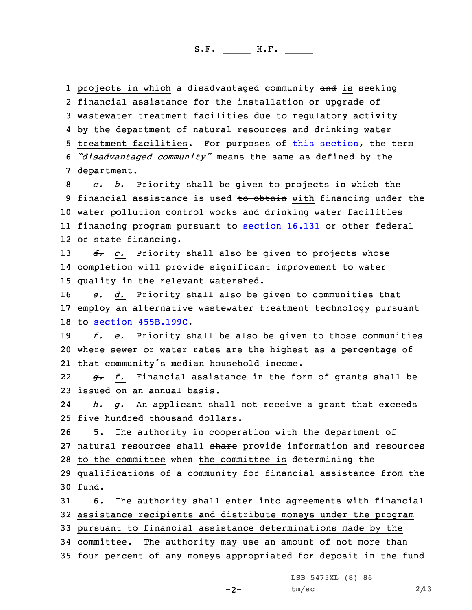1 projects in which a disadvantaged community <del>and</del> is seeking 2 financial assistance for the installation or upgrade of 3 wastewater treatment facilities due to regulatory activity 4 <del>by the department of natural resources</del> and drinking water 5 treatment facilities. For purposes of this [section](https://www.legis.iowa.gov/docs/code/2016/16.134.pdf), the term <sup>6</sup> *"disadvantaged community"* means the same as defined by the 7 department.

 *c. b.* Priority shall be given to projects in which the 9 financial assistance is used to obtain with financing under the water pollution control works and drinking water facilities financing program pursuant to [section](https://www.legis.iowa.gov/docs/code/2016/16.131.pdf) 16.131 or other federal or state financing.

13 *d. c.* Priority shall also be given to projects whose 14 completion will provide significant improvement to water 15 quality in the relevant watershed.

16 *e. d.* Priority shall also be given to communities that 17 employ an alternative wastewater treatment technology pursuant 18 to section [455B.199C](https://www.legis.iowa.gov/docs/code/2016/455B.199C.pdf).

19 *f. e.* Priority shall be also be given to those communities 20 where sewer or water rates are the highest as <sup>a</sup> percentage of 21 that community's median household income.

22 *g. f.* Financial assistance in the form of grants shall be 23 issued on an annual basis.

24 *h. g.* An applicant shall not receive <sup>a</sup> grant that exceeds 25 five hundred thousand dollars.

26 5. The authority in cooperation with the department of 27 natural resources shall share provide information and resources 28 to the committee when the committee is determining the 29 qualifications of <sup>a</sup> community for financial assistance from the 30 fund.

 6. The authority shall enter into agreements with financial assistance recipients and distribute moneys under the program pursuant to financial assistance determinations made by the committee. The authority may use an amount of not more than four percent of any moneys appropriated for deposit in the fund

LSB 5473XL (8) 86

-2-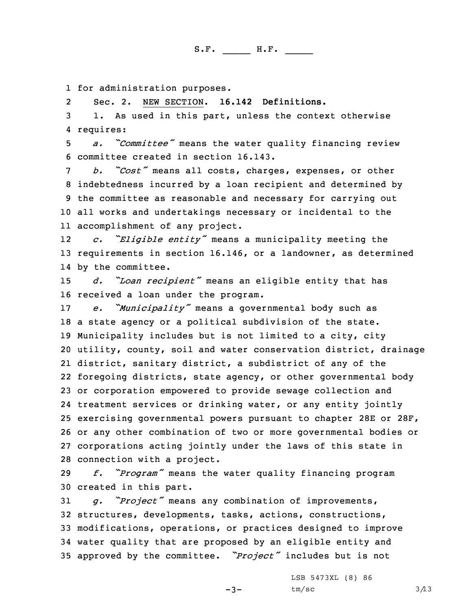1 for administration purposes.

2Sec. 2. NEW SECTION. **16.142 Definitions.**

3 1. As used in this part, unless the context otherwise 4 requires:

<sup>5</sup> *a. "Committee"* means the water quality financing review 6 committee created in section 16.143.

 *b. "Cost"* means all costs, charges, expenses, or other indebtedness incurred by <sup>a</sup> loan recipient and determined by the committee as reasonable and necessary for carrying out all works and undertakings necessary or incidental to the accomplishment of any project.

12 *c. "Eligible entity"* means <sup>a</sup> municipality meeting the 13 requirements in section 16.146, or <sup>a</sup> landowner, as determined 14 by the committee.

<sup>15</sup> *d. "Loan recipient"* means an eligible entity that has 16 received <sup>a</sup> loan under the program.

 *e. "Municipality"* means <sup>a</sup> governmental body such as <sup>a</sup> state agency or <sup>a</sup> political subdivision of the state. Municipality includes but is not limited to <sup>a</sup> city, city utility, county, soil and water conservation district, drainage district, sanitary district, <sup>a</sup> subdistrict of any of the foregoing districts, state agency, or other governmental body or corporation empowered to provide sewage collection and treatment services or drinking water, or any entity jointly exercising governmental powers pursuant to chapter 28E or 28F, or any other combination of two or more governmental bodies or corporations acting jointly under the laws of this state in connection with <sup>a</sup> project.

<sup>29</sup> *f. "Program"* means the water quality financing program 30 created in this part.

 *g. "Project"* means any combination of improvements, structures, developments, tasks, actions, constructions, modifications, operations, or practices designed to improve water quality that are proposed by an eligible entity and approved by the committee. *"Project"* includes but is not

 $-3-$ 

LSB 5473XL (8) 86  $tm/sec$  3/13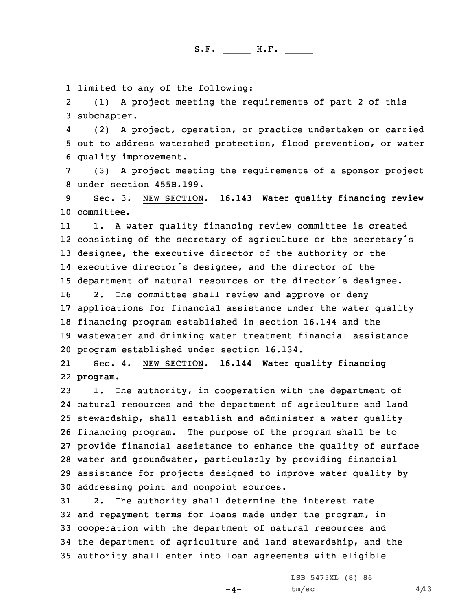1 limited to any of the following:

2 (1) <sup>A</sup> project meeting the requirements of part 2 of this 3 subchapter.

4 (2) <sup>A</sup> project, operation, or practice undertaken or carried 5 out to address watershed protection, flood prevention, or water 6 quality improvement.

7 (3) <sup>A</sup> project meeting the requirements of <sup>a</sup> sponsor project 8 under section 455B.199.

9 Sec. 3. NEW SECTION. **16.143 Water quality financing review** 10 **committee.**

11 1. <sup>A</sup> water quality financing review committee is created consisting of the secretary of agriculture or the secretary's designee, the executive director of the authority or the executive director's designee, and the director of the department of natural resources or the director's designee. 2. The committee shall review and approve or deny applications for financial assistance under the water quality financing program established in section 16.144 and the wastewater and drinking water treatment financial assistance program established under section 16.134.

21 Sec. 4. NEW SECTION. **16.144 Water quality financing** 22 **program.**

 1. The authority, in cooperation with the department of natural resources and the department of agriculture and land stewardship, shall establish and administer <sup>a</sup> water quality financing program. The purpose of the program shall be to provide financial assistance to enhance the quality of surface water and groundwater, particularly by providing financial assistance for projects designed to improve water quality by addressing point and nonpoint sources.

 2. The authority shall determine the interest rate and repayment terms for loans made under the program, in cooperation with the department of natural resources and the department of agriculture and land stewardship, and the authority shall enter into loan agreements with eligible

 $-4-$ 

LSB 5473XL (8) 86  $tm/sec$  4/13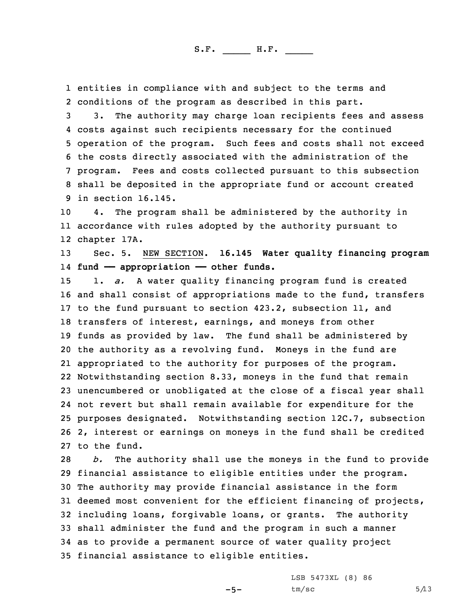1 entities in compliance with and subject to the terms and 2 conditions of the program as described in this part.

 3. The authority may charge loan recipients fees and assess costs against such recipients necessary for the continued operation of the program. Such fees and costs shall not exceed the costs directly associated with the administration of the program. Fees and costs collected pursuant to this subsection shall be deposited in the appropriate fund or account created in section 16.145.

10 4. The program shall be administered by the authority in 11 accordance with rules adopted by the authority pursuant to 12 chapter 17A.

13 Sec. 5. NEW SECTION. **16.145 Water quality financing program** 14 **fund —— appropriation —— other funds.**

 1. *a.* <sup>A</sup> water quality financing program fund is created and shall consist of appropriations made to the fund, transfers to the fund pursuant to section 423.2, subsection 11, and transfers of interest, earnings, and moneys from other funds as provided by law. The fund shall be administered by the authority as <sup>a</sup> revolving fund. Moneys in the fund are appropriated to the authority for purposes of the program. Notwithstanding section 8.33, moneys in the fund that remain unencumbered or unobligated at the close of <sup>a</sup> fiscal year shall not revert but shall remain available for expenditure for the purposes designated. Notwithstanding section 12C.7, subsection 2, interest or earnings on moneys in the fund shall be credited to the fund.

 *b.* The authority shall use the moneys in the fund to provide financial assistance to eligible entities under the program. The authority may provide financial assistance in the form deemed most convenient for the efficient financing of projects, including loans, forgivable loans, or grants. The authority shall administer the fund and the program in such <sup>a</sup> manner as to provide <sup>a</sup> permanent source of water quality project financial assistance to eligible entities.

 $-5-$ 

LSB 5473XL (8) 86  $tm/sec$  5/13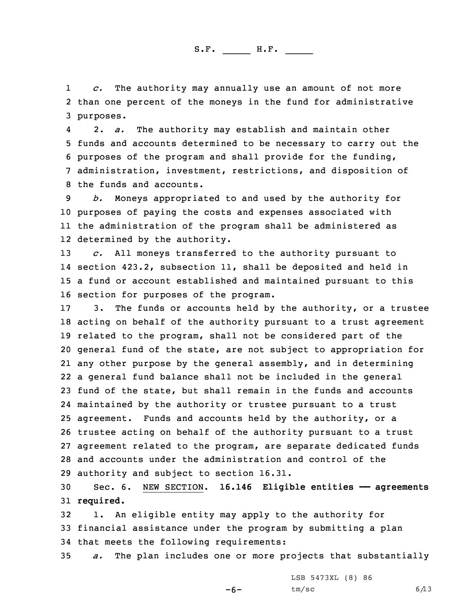1 *c.* The authority may annually use an amount of not more 2 than one percent of the moneys in the fund for administrative 3 purposes.

4 2. *a.* The authority may establish and maintain other funds and accounts determined to be necessary to carry out the purposes of the program and shall provide for the funding, administration, investment, restrictions, and disposition of the funds and accounts.

 *b.* Moneys appropriated to and used by the authority for purposes of paying the costs and expenses associated with the administration of the program shall be administered as determined by the authority.

 *c.* All moneys transferred to the authority pursuant to section 423.2, subsection 11, shall be deposited and held in <sup>a</sup> fund or account established and maintained pursuant to this section for purposes of the program.

 3. The funds or accounts held by the authority, or <sup>a</sup> trustee acting on behalf of the authority pursuant to <sup>a</sup> trust agreement related to the program, shall not be considered part of the general fund of the state, are not subject to appropriation for any other purpose by the general assembly, and in determining <sup>a</sup> general fund balance shall not be included in the general fund of the state, but shall remain in the funds and accounts maintained by the authority or trustee pursuant to <sup>a</sup> trust agreement. Funds and accounts held by the authority, or <sup>a</sup> trustee acting on behalf of the authority pursuant to <sup>a</sup> trust agreement related to the program, are separate dedicated funds and accounts under the administration and control of the authority and subject to section 16.31.

30 Sec. 6. NEW SECTION. **16.146 Eligible entities —— agreements** 31 **required.**

32 1. An eligible entity may apply to the authority for 33 financial assistance under the program by submitting <sup>a</sup> plan 34 that meets the following requirements:

35 *a.* The plan includes one or more projects that substantially

-6-

LSB 5473XL (8) 86  $tm/sec$  6/13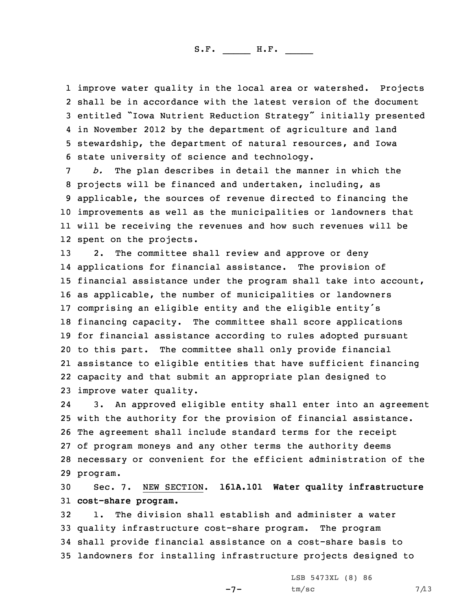improve water quality in the local area or watershed. Projects shall be in accordance with the latest version of the document entitled "Iowa Nutrient Reduction Strategy" initially presented in November 2012 by the department of agriculture and land stewardship, the department of natural resources, and Iowa state university of science and technology.

 *b.* The plan describes in detail the manner in which the projects will be financed and undertaken, including, as applicable, the sources of revenue directed to financing the improvements as well as the municipalities or landowners that will be receiving the revenues and how such revenues will be spent on the projects.

 2. The committee shall review and approve or deny applications for financial assistance. The provision of financial assistance under the program shall take into account, as applicable, the number of municipalities or landowners comprising an eligible entity and the eligible entity's financing capacity. The committee shall score applications for financial assistance according to rules adopted pursuant to this part. The committee shall only provide financial assistance to eligible entities that have sufficient financing capacity and that submit an appropriate plan designed to improve water quality.

24 3. An approved eligible entity shall enter into an agreement 25 with the authority for the provision of financial assistance. 26 The agreement shall include standard terms for the receipt 27 of program moneys and any other terms the authority deems 28 necessary or convenient for the efficient administration of the 29 program.

30 Sec. 7. NEW SECTION. **161A.101 Water quality infrastructure** 31 **cost-share program.**

 1. The division shall establish and administer <sup>a</sup> water quality infrastructure cost-share program. The program shall provide financial assistance on <sup>a</sup> cost-share basis to landowners for installing infrastructure projects designed to

-7-

LSB 5473XL (8) 86  $tm/sec$  7/13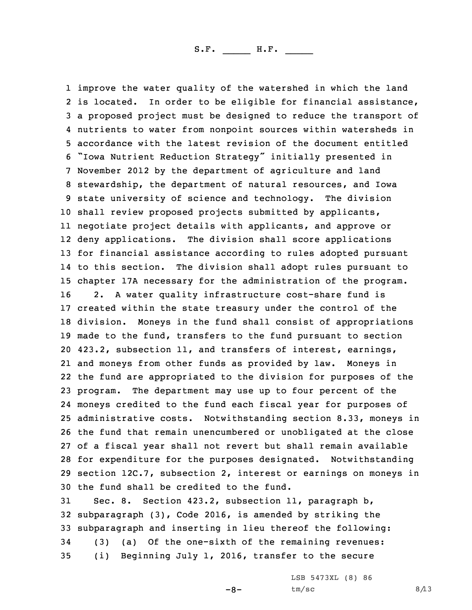improve the water quality of the watershed in which the land is located. In order to be eligible for financial assistance, <sup>a</sup> proposed project must be designed to reduce the transport of nutrients to water from nonpoint sources within watersheds in accordance with the latest revision of the document entitled "Iowa Nutrient Reduction Strategy" initially presented in November 2012 by the department of agriculture and land stewardship, the department of natural resources, and Iowa state university of science and technology. The division shall review proposed projects submitted by applicants, negotiate project details with applicants, and approve or deny applications. The division shall score applications for financial assistance according to rules adopted pursuant to this section. The division shall adopt rules pursuant to chapter 17A necessary for the administration of the program. 2. <sup>A</sup> water quality infrastructure cost-share fund is created within the state treasury under the control of the division. Moneys in the fund shall consist of appropriations made to the fund, transfers to the fund pursuant to section 423.2, subsection 11, and transfers of interest, earnings, and moneys from other funds as provided by law. Moneys in the fund are appropriated to the division for purposes of the program. The department may use up to four percent of the moneys credited to the fund each fiscal year for purposes of administrative costs. Notwithstanding section 8.33, moneys in the fund that remain unencumbered or unobligated at the close of <sup>a</sup> fiscal year shall not revert but shall remain available for expenditure for the purposes designated. Notwithstanding section 12C.7, subsection 2, interest or earnings on moneys in the fund shall be credited to the fund.

 Sec. 8. Section 423.2, subsection 11, paragraph b, subparagraph (3), Code 2016, is amended by striking the subparagraph and inserting in lieu thereof the following: (3) (a) Of the one-sixth of the remaining revenues: (i) Beginning July 1, 2016, transfer to the secure

 $-8-$ 

LSB 5473XL (8) 86  $tm/sec$  8/13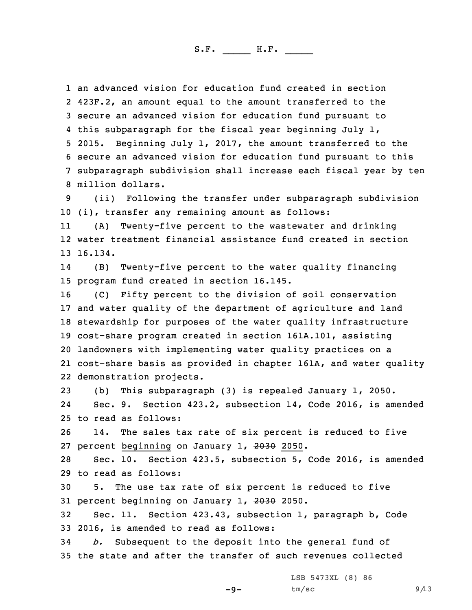an advanced vision for education fund created in section 423F.2, an amount equal to the amount transferred to the secure an advanced vision for education fund pursuant to this subparagraph for the fiscal year beginning July 1, 2015. Beginning July 1, 2017, the amount transferred to the secure an advanced vision for education fund pursuant to this subparagraph subdivision shall increase each fiscal year by ten million dollars.

9 (ii) Following the transfer under subparagraph subdivision 10 (i), transfer any remaining amount as follows:

11 (A) Twenty-five percent to the wastewater and drinking 12 water treatment financial assistance fund created in section 13 16.134.

14 (B) Twenty-five percent to the water quality financing 15 program fund created in section 16.145.

 (C) Fifty percent to the division of soil conservation and water quality of the department of agriculture and land stewardship for purposes of the water quality infrastructure cost-share program created in section 161A.101, assisting landowners with implementing water quality practices on <sup>a</sup> cost-share basis as provided in chapter 161A, and water quality demonstration projects.

23 (b) This subparagraph (3) is repealed January 1, 2050. 24 Sec. 9. Section 423.2, subsection 14, Code 2016, is amended 25 to read as follows:

26 14. The sales tax rate of six percent is reduced to five 27 percent beginning on January 1, 2030 2050.

28 Sec. 10. Section 423.5, subsection 5, Code 2016, is amended 29 to read as follows:

30 5. The use tax rate of six percent is reduced to five 31 percent beginning on January 1, 2030 2050.

32 Sec. 11. Section 423.43, subsection 1, paragraph b, Code 33 2016, is amended to read as follows:

34 *b.* Subsequent to the deposit into the general fund of 35 the state and after the transfer of such revenues collected

 $-9-$ 

LSB 5473XL (8) 86  $tm/sec$  9/13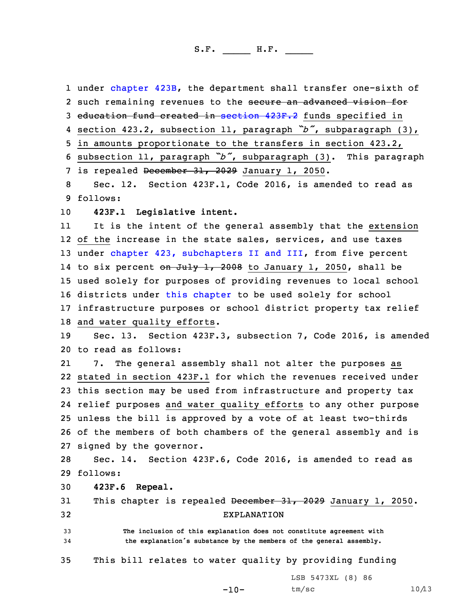1 under [chapter](https://www.legis.iowa.gov/docs/code/2016/423B.pdf) 423B, the department shall transfer one-sixth of 2 such remaining revenues to the <del>secure an advanced vision for</del> education fund created in [section](https://www.legis.iowa.gov/docs/code/2016/423F.2.pdf) 423F.2 funds specified in section 423.2, subsection 11, paragraph *"b"*, subparagraph (3), in amounts proportionate to the transfers in section 423.2, subsection 11, paragraph *"b"*, subparagraph (3). This paragraph 7 is repealed December 31, 2029 January 1, 2050. Sec. 12. Section 423F.1, Code 2016, is amended to read as 9 follows: **423F.1 Legislative intent.** 11 It is the intent of the general assembly that the extension 12 of the increase in the state sales, services, and use taxes 13 under chapter 423, [subchapters](https://www.legis.iowa.gov/docs/code/2016/423.pdf) II and III, from five percent 14 to six percent <del>on July 1, 2008</del> to January 1, 2050, shall be used solely for purposes of providing revenues to local school districts under this [chapter](https://www.legis.iowa.gov/docs/code/2016/423F.pdf) to be used solely for school infrastructure purposes or school district property tax relief and water quality efforts. Sec. 13. Section 423F.3, subsection 7, Code 2016, is amended to read as follows: 21 7. The general assembly shall not alter the purposes as stated in section 423F.1 for which the revenues received under this section may be used from infrastructure and property tax relief purposes and water quality efforts to any other purpose unless the bill is approved by <sup>a</sup> vote of at least two-thirds of the members of both chambers of the general assembly and is signed by the governor. Sec. 14. Section 423F.6, Code 2016, is amended to read as 29 follows: **423F.6 Repeal.** 31 This chapter is repealed December 31, 2029 January 1, 2050. EXPLANATION **The inclusion of this explanation does not constitute agreement with the explanation's substance by the members of the general assembly.** This bill relates to water quality by providing funding LSB 5473XL (8) 86

 $-10-$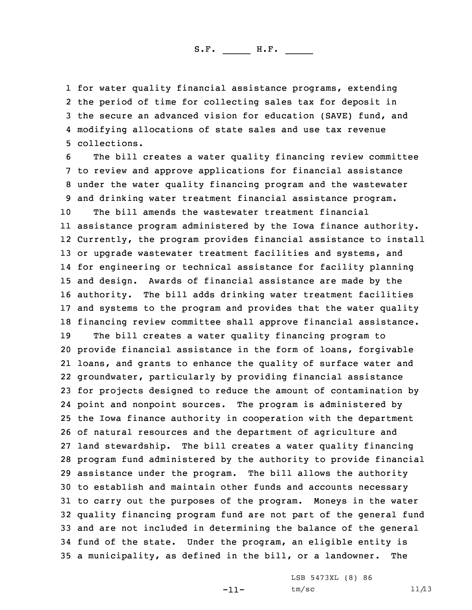for water quality financial assistance programs, extending the period of time for collecting sales tax for deposit in the secure an advanced vision for education (SAVE) fund, and modifying allocations of state sales and use tax revenue collections.

 The bill creates <sup>a</sup> water quality financing review committee to review and approve applications for financial assistance under the water quality financing program and the wastewater and drinking water treatment financial assistance program. The bill amends the wastewater treatment financial assistance program administered by the Iowa finance authority. Currently, the program provides financial assistance to install 13 or upgrade wastewater treatment facilities and systems, and for engineering or technical assistance for facility planning and design. Awards of financial assistance are made by the authority. The bill adds drinking water treatment facilities and systems to the program and provides that the water quality financing review committee shall approve financial assistance. The bill creates <sup>a</sup> water quality financing program to provide financial assistance in the form of loans, forgivable loans, and grants to enhance the quality of surface water and groundwater, particularly by providing financial assistance for projects designed to reduce the amount of contamination by point and nonpoint sources. The program is administered by the Iowa finance authority in cooperation with the department of natural resources and the department of agriculture and land stewardship. The bill creates <sup>a</sup> water quality financing program fund administered by the authority to provide financial assistance under the program. The bill allows the authority to establish and maintain other funds and accounts necessary to carry out the purposes of the program. Moneys in the water quality financing program fund are not part of the general fund and are not included in determining the balance of the general fund of the state. Under the program, an eligible entity is <sup>a</sup> municipality, as defined in the bill, or <sup>a</sup> landowner. The

-11-

LSB 5473XL (8) 86  $tm/sec$  11/13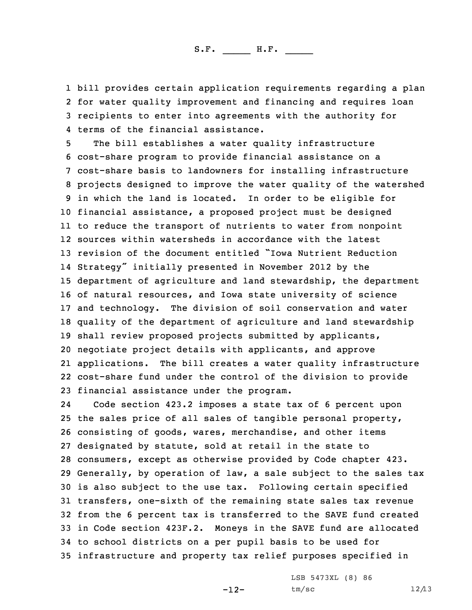bill provides certain application requirements regarding <sup>a</sup> plan for water quality improvement and financing and requires loan recipients to enter into agreements with the authority for terms of the financial assistance.

 The bill establishes <sup>a</sup> water quality infrastructure cost-share program to provide financial assistance on <sup>a</sup> cost-share basis to landowners for installing infrastructure projects designed to improve the water quality of the watershed in which the land is located. In order to be eligible for financial assistance, <sup>a</sup> proposed project must be designed to reduce the transport of nutrients to water from nonpoint sources within watersheds in accordance with the latest revision of the document entitled "Iowa Nutrient Reduction Strategy" initially presented in November <sup>2012</sup> by the department of agriculture and land stewardship, the department of natural resources, and Iowa state university of science and technology. The division of soil conservation and water quality of the department of agriculture and land stewardship shall review proposed projects submitted by applicants, negotiate project details with applicants, and approve applications. The bill creates <sup>a</sup> water quality infrastructure cost-share fund under the control of the division to provide financial assistance under the program.

24 Code section 423.2 imposes <sup>a</sup> state tax of 6 percent upon the sales price of all sales of tangible personal property, consisting of goods, wares, merchandise, and other items designated by statute, sold at retail in the state to consumers, except as otherwise provided by Code chapter 423. Generally, by operation of law, <sup>a</sup> sale subject to the sales tax is also subject to the use tax. Following certain specified transfers, one-sixth of the remaining state sales tax revenue from the 6 percent tax is transferred to the SAVE fund created in Code section 423F.2. Moneys in the SAVE fund are allocated to school districts on <sup>a</sup> per pupil basis to be used for infrastructure and property tax relief purposes specified in

-12-

LSB 5473XL (8) 86  $tm/sec$  12/13